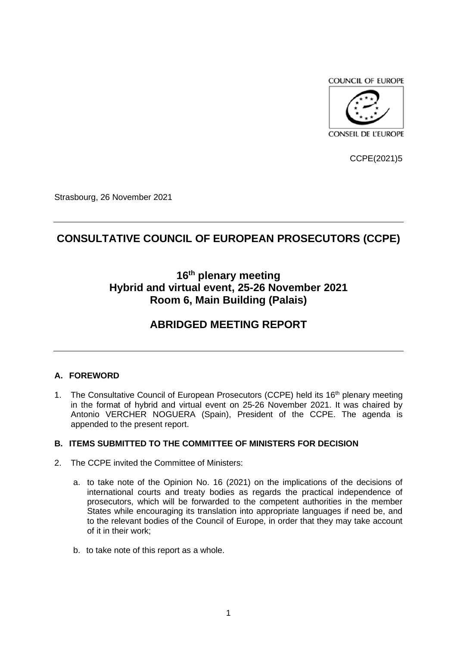**COUNCIL OF EUROPE** 



CCPE(2021)5

Strasbourg, 26 November 2021

# **CONSULTATIVE COUNCIL OF EUROPEAN PROSECUTORS (CCPE)**

# **16th plenary meeting Hybrid and virtual event, 25-26 November 2021 Room 6, Main Building (Palais)**

## **ABRIDGED MEETING REPORT**

### **A. FOREWORD**

1. The Consultative Council of European Prosecutors (CCPE) held its 16<sup>th</sup> plenary meeting in the format of hybrid and virtual event on 25-26 November 2021. It was chaired by Antonio VERCHER NOGUERA (Spain), President of the CCPE. The agenda is appended to the present report.

#### **B. ITEMS SUBMITTED TO THE COMMITTEE OF MINISTERS FOR DECISION**

- 2. The CCPE invited the Committee of Ministers:
	- a. to take note of the Opinion No. 16 (2021) on the implications of the decisions of international courts and treaty bodies as regards the practical independence of prosecutors, which will be forwarded to the competent authorities in the member States while encouraging its translation into appropriate languages if need be, and to the relevant bodies of the Council of Europe, in order that they may take account of it in their work;
	- b. to take note of this report as a whole.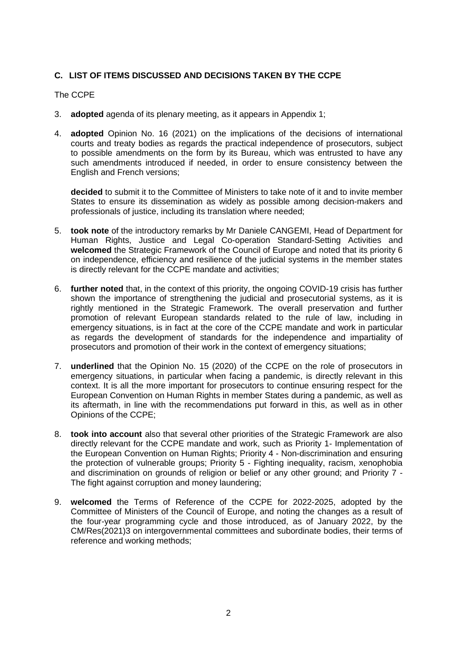## **C. LIST OF ITEMS DISCUSSED AND DECISIONS TAKEN BY THE CCPE**

#### The CCPE

- 3. **adopted** agenda of its plenary meeting, as it appears in Appendix 1;
- 4. **adopted** Opinion No. 16 (2021) on the implications of the decisions of international courts and treaty bodies as regards the practical independence of prosecutors, subject to possible amendments on the form by its Bureau, which was entrusted to have any such amendments introduced if needed, in order to ensure consistency between the English and French versions;

**decided** to submit it to the Committee of Ministers to take note of it and to invite member States to ensure its dissemination as widely as possible among decision-makers and professionals of justice, including its translation where needed;

- 5. **took note** of the introductory remarks by Mr Daniele CANGEMI, Head of Department for Human Rights, Justice and Legal Co-operation Standard-Setting Activities and **welcomed** the Strategic Framework of the Council of Europe and noted that its priority 6 on independence, efficiency and resilience of the judicial systems in the member states is directly relevant for the CCPE mandate and activities;
- 6. **further noted** that, in the context of this priority, the ongoing COVID-19 crisis has further shown the importance of strengthening the judicial and prosecutorial systems, as it is rightly mentioned in the Strategic Framework. The overall preservation and further promotion of relevant European standards related to the rule of law, including in emergency situations, is in fact at the core of the CCPE mandate and work in particular as regards the development of standards for the independence and impartiality of prosecutors and promotion of their work in the context of emergency situations;
- 7. **underlined** that the Opinion No. 15 (2020) of the CCPE on the role of prosecutors in emergency situations, in particular when facing a pandemic, is directly relevant in this context. It is all the more important for prosecutors to continue ensuring respect for the European Convention on Human Rights in member States during a pandemic, as well as its aftermath, in line with the recommendations put forward in this, as well as in other Opinions of the CCPE;
- 8. **took into account** also that several other priorities of the Strategic Framework are also directly relevant for the CCPE mandate and work, such as Priority 1- Implementation of the European Convention on Human Rights; Priority 4 - Non-discrimination and ensuring the protection of vulnerable groups; Priority 5 - Fighting inequality, racism, xenophobia and discrimination on grounds of religion or belief or any other ground; and Priority 7 - The fight against corruption and money laundering;
- 9. **welcomed** the Terms of Reference of the CCPE for 2022-2025, adopted by the Committee of Ministers of the Council of Europe, and noting the changes as a result of the four-year programming cycle and those introduced, as of January 2022, by the CM/Res(2021)3 on intergovernmental committees and subordinate bodies, their terms of reference and working methods;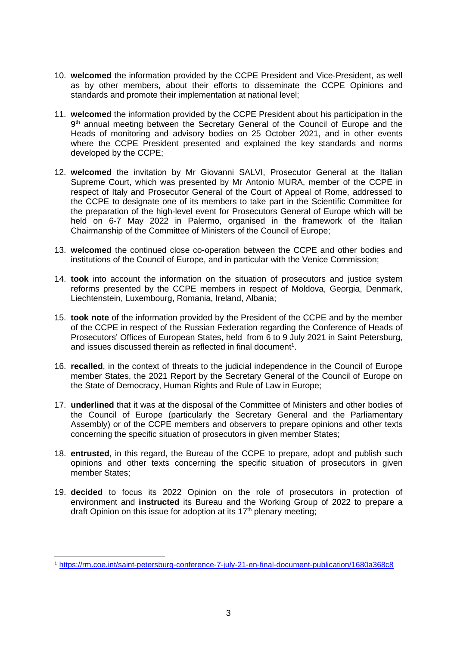- 10. **welcomed** the information provided by the CCPE President and Vice-President, as well as by other members, about their efforts to disseminate the CCPE Opinions and standards and promote their implementation at national level;
- 11. **welcomed** the information provided by the CCPE President about his participation in the 9<sup>th</sup> annual meeting between the Secretary General of the Council of Europe and the Heads of monitoring and advisory bodies on 25 October 2021, and in other events where the CCPE President presented and explained the key standards and norms developed by the CCPE;
- 12. **welcomed** the invitation by Mr Giovanni SALVI, Prosecutor General at the Italian Supreme Court, which was presented by Mr Antonio MURA, member of the CCPE in respect of Italy and Prosecutor General of the Court of Appeal of Rome, addressed to the CCPE to designate one of its members to take part in the Scientific Committee for the preparation of the high-level event for Prosecutors General of Europe which will be held on 6-7 May 2022 in Palermo, organised in the framework of the Italian Chairmanship of the Committee of Ministers of the Council of Europe;
- 13. **welcomed** the continued close co-operation between the CCPE and other bodies and institutions of the Council of Europe, and in particular with the Venice Commission;
- 14. **took** into account the information on the situation of prosecutors and justice system reforms presented by the CCPE members in respect of Moldova, Georgia, Denmark, Liechtenstein, Luxembourg, Romania, Ireland, Albania;
- 15. **took note** of the information provided by the President of the CCPE and by the member of the CCPE in respect of the Russian Federation regarding the Conference of Heads of Prosecutors' Offices of European States, held from 6 to 9 July 2021 in Saint Petersburg, and issues discussed therein as reflected in final document<sup>1</sup>.
- 16. **recalled**, in the context of threats to the judicial independence in the Council of Europe member States, the 2021 Report by the Secretary General of the Council of Europe on the State of Democracy, Human Rights and Rule of Law in Europe;
- 17. **underlined** that it was at the disposal of the Committee of Ministers and other bodies of the Council of Europe (particularly the Secretary General and the Parliamentary Assembly) or of the CCPE members and observers to prepare opinions and other texts concerning the specific situation of prosecutors in given member States;
- 18. **entrusted**, in this regard, the Bureau of the CCPE to prepare, adopt and publish such opinions and other texts concerning the specific situation of prosecutors in given member States;
- 19. **decided** to focus its 2022 Opinion on the role of prosecutors in protection of environment and **instructed** its Bureau and the Working Group of 2022 to prepare a draft Opinion on this issue for adoption at its  $17<sup>th</sup>$  plenary meeting;

<sup>1</sup> <https://rm.coe.int/saint-petersburg-conference-7-july-21-en-final-document-publication/1680a368c8>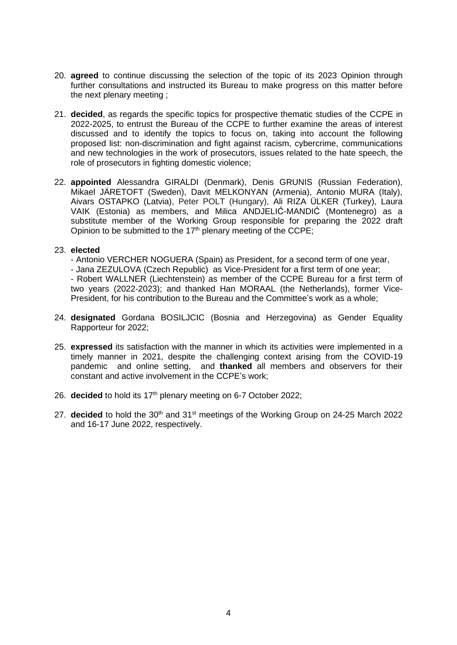- 20. **agreed** to continue discussing the selection of the topic of its 2023 Opinion through further consultations and instructed its Bureau to make progress on this matter before the next plenary meeting ;
- 21. **decided**, as regards the specific topics for prospective thematic studies of the CCPE in 2022-2025, to entrust the Bureau of the CCPE to further examine the areas of interest discussed and to identify the topics to focus on, taking into account the following proposed list: non-discrimination and fight against racism, cybercrime, communications and new technologies in the work of prosecutors, issues related to the hate speech, the role of prosecutors in fighting domestic violence;
- 22. **appointed** Alessandra GIRALDI (Denmark), Denis GRUNIS (Russian Federation), Mikael JÄRETOFT (Sweden), Davit MELKONYAN (Armenia), Antonio MURA (Italy), Aivars OSTAPKO (Latvia), Peter POLT (Hungary), Ali RIZA ÜLKER (Turkey), Laura VAIK (Estonia) as members, and Milica ANDJELIĆ-MANDIĆ (Montenegro) as a substitute member of the Working Group responsible for preparing the 2022 draft Opinion to be submitted to the  $17<sup>th</sup>$  plenary meeting of the CCPE;

#### 23. **elected**

- Antonio VERCHER NOGUERA (Spain) as President, for a second term of one year,
- Jana ZEZULOVA (Czech Republic) as Vice-President for a first term of one year;

- Robert WALLNER (Liechtenstein) as member of the CCPE Bureau for a first term of two years (2022-2023); and thanked Han MORAAL (the Netherlands), former Vice-President, for his contribution to the Bureau and the Committee's work as a whole;

- 24. **designated** Gordana BOSILJCIC (Bosnia and Herzegovina) as Gender Equality Rapporteur for 2022;
- 25. **expressed** its satisfaction with the manner in which its activities were implemented in a timely manner in 2021, despite the challenging context arising from the COVID-19 pandemic and online setting, and **thanked** all members and observers for their constant and active involvement in the CCPE's work;
- 26. **decided** to hold its 17<sup>th</sup> plenary meeting on 6-7 October 2022;
- 27. **decided** to hold the 30<sup>th</sup> and 31<sup>st</sup> meetings of the Working Group on 24-25 March 2022 and 16-17 June 2022, respectively.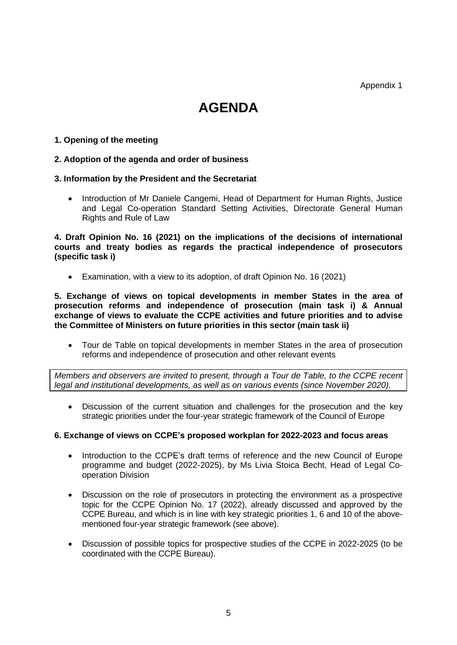Appendix 1

# **AGENDA**

#### **1. Opening of the meeting**

#### **2. Adoption of the agenda and order of business**

#### **3. Information by the President and the Secretariat**

• Introduction of Mr Daniele Cangemi, Head of Department for Human Rights, Justice and Legal Co-operation Standard Setting Activities, Directorate General Human Rights and Rule of Law

**4. Draft Opinion No. 16 (2021) on the implications of the decisions of international courts and treaty bodies as regards the practical independence of prosecutors (specific task i)**

• Examination, with a view to its adoption, of draft Opinion No. 16 (2021)

**5. Exchange of views on topical developments in member States in the area of prosecution reforms and independence of prosecution (main task i) & Annual exchange of views to evaluate the CCPE activities and future priorities and to advise the Committee of Ministers on future priorities in this sector (main task ii)**

• Tour de Table on topical developments in member States in the area of prosecution reforms and independence of prosecution and other relevant events

*Members and observers are invited to present, through a Tour de Table, to the CCPE recent legal and institutional developments, as well as on various events (since November 2020).*

• Discussion of the current situation and challenges for the prosecution and the key strategic priorities under the four-year strategic framework of the Council of Europe

#### **6. Exchange of views on CCPE's proposed workplan for 2022-2023 and focus areas**

- Introduction to the CCPE's draft terms of reference and the new Council of Europe programme and budget (2022-2025), by Ms Livia Stoica Becht, Head of Legal Cooperation Division
- Discussion on the role of prosecutors in protecting the environment as a prospective topic for the CCPE Opinion No. 17 (2022), already discussed and approved by the CCPE Bureau, and which is in line with key strategic priorities 1, 6 and 10 of the abovementioned four-year strategic framework (see above).
- Discussion of possible topics for prospective studies of the CCPE in 2022-2025 (to be coordinated with the CCPE Bureau).